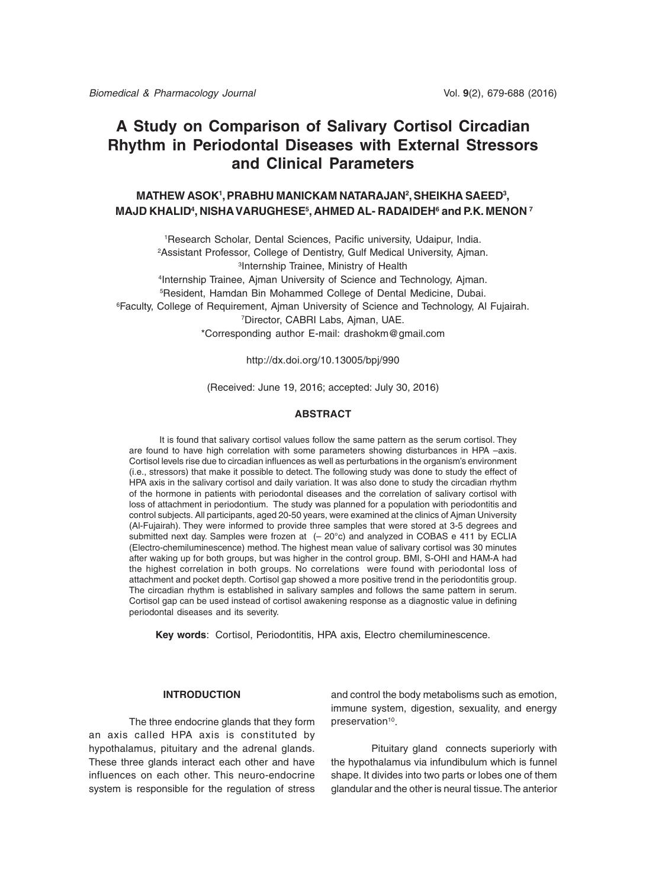# **A Study on Comparison of Salivary Cortisol Circadian Rhythm in Periodontal Diseases with External Stressors and Clinical Parameters**

## **MATHEW ASOK1 , PRABHU MANICKAM NATARAJAN2 , SHEIKHA SAEED3 , MAJD KHALID4 , NISHA VARUGHESE5 , AHMED AL- RADAIDEH6 and P.K. MENON 7**

 Research Scholar, Dental Sciences, Pacific university, Udaipur, India. Assistant Professor, College of Dentistry, Gulf Medical University, Ajman. Internship Trainee, Ministry of Health 4Internship Trainee, Ajman University of Science and Technology, Ajman. Resident, Hamdan Bin Mohammed College of Dental Medicine, Dubai. Faculty, College of Requirement, Ajman University of Science and Technology, Al Fujairah. Director, CABRI Labs, Ajman, UAE. \*Corresponding author E-mail: drashokm@gmail.com

http://dx.doi.org/10.13005/bpj/990

(Received: June 19, 2016; accepted: July 30, 2016)

#### **ABSTRACT**

It is found that salivary cortisol values follow the same pattern as the serum cortisol. They are found to have high correlation with some parameters showing disturbances in HPA –axis. Cortisol levels rise due to circadian influences as well as perturbations in the organism's environment (i.e., stressors) that make it possible to detect. The following study was done to study the effect of HPA axis in the salivary cortisol and daily variation. It was also done to study the circadian rhythm of the hormone in patients with periodontal diseases and the correlation of salivary cortisol with loss of attachment in periodontium. The study was planned for a population with periodontitis and control subjects. All participants, aged 20-50 years, were examined at the clinics of Ajman University (Al-Fujairah). They were informed to provide three samples that were stored at 3-5 degrees and submitted next day. Samples were frozen at (- 20°c) and analyzed in COBAS e 411 by ECLIA (Electro-chemiluminescence) method. The highest mean value of salivary cortisol was 30 minutes after waking up for both groups, but was higher in the control group. BMI, S-OHI and HAM-A had the highest correlation in both groups. No correlations were found with periodontal loss of attachment and pocket depth. Cortisol gap showed a more positive trend in the periodontitis group. The circadian rhythm is established in salivary samples and follows the same pattern in serum. Cortisol gap can be used instead of cortisol awakening response as a diagnostic value in defining periodontal diseases and its severity.

**Key words**: Cortisol, Periodontitis, HPA axis, Electro chemiluminescence.

### **INTRODUCTION**

The three endocrine glands that they form an axis called HPA axis is constituted by hypothalamus, pituitary and the adrenal glands. These three glands interact each other and have influences on each other. This neuro-endocrine system is responsible for the regulation of stress and control the body metabolisms such as emotion, immune system, digestion, sexuality, and energy preservation<sup>10</sup>.

Pituitary gland connects superiorly with the hypothalamus via infundibulum which is funnel shape. It divides into two parts or lobes one of them glandular and the other is neural tissue. The anterior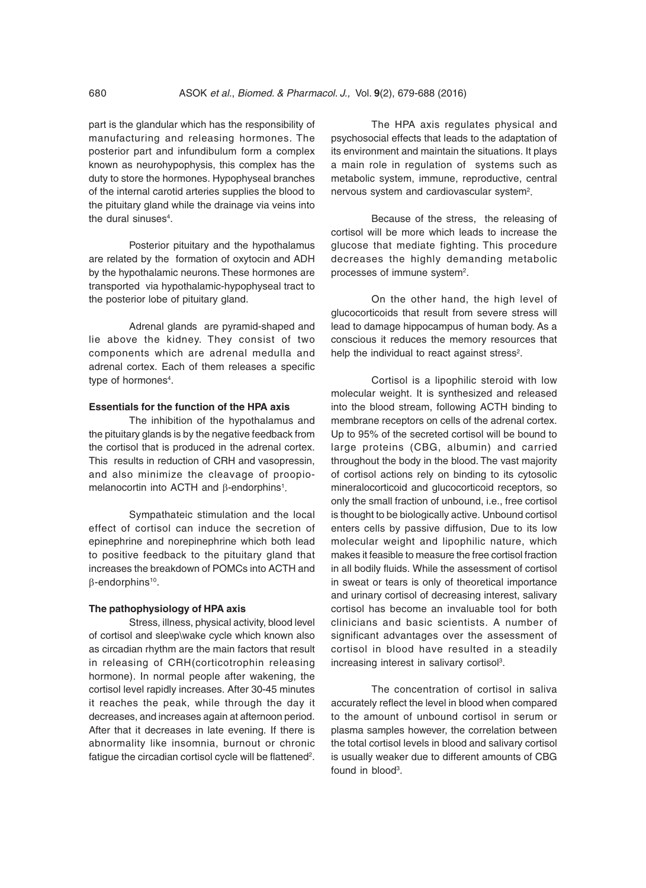part is the glandular which has the responsibility of manufacturing and releasing hormones. The posterior part and infundibulum form a complex known as neurohypophysis, this complex has the duty to store the hormones. Hypophyseal branches of the internal carotid arteries supplies the blood to the pituitary gland while the drainage via veins into the dural sinuses<sup>4</sup>.

Posterior pituitary and the hypothalamus are related by the formation of oxytocin and ADH by the hypothalamic neurons. These hormones are transported via hypothalamic-hypophyseal tract to the posterior lobe of pituitary gland.

Adrenal glands are pyramid-shaped and lie above the kidney. They consist of two components which are adrenal medulla and adrenal cortex. Each of them releases a specific type of hormones<sup>4</sup>.

### **Essentials for the function of the HPA axis**

The inhibition of the hypothalamus and the pituitary glands is by the negative feedback from the cortisol that is produced in the adrenal cortex. This results in reduction of CRH and vasopressin, and also minimize the cleavage of proopiomelanocortin into ACTH and  $\beta$ -endorphins<sup>1</sup>.

Sympathateic stimulation and the local effect of cortisol can induce the secretion of epinephrine and norepinephrine which both lead to positive feedback to the pituitary gland that increases the breakdown of POMCs into ACTH and β-endorphins10.

#### **The pathophysiology of HPA axis**

Stress, illness, physical activity, blood level of cortisol and sleep\wake cycle which known also as circadian rhythm are the main factors that result in releasing of CRH(corticotrophin releasing hormone). In normal people after wakening, the cortisol level rapidly increases. After 30-45 minutes it reaches the peak, while through the day it decreases, and increases again at afternoon period. After that it decreases in late evening. If there is abnormality like insomnia, burnout or chronic fatigue the circadian cortisol cycle will be flattened<sup>2</sup>.

The HPA axis regulates physical and psychosocial effects that leads to the adaptation of its environment and maintain the situations. It plays a main role in regulation of systems such as metabolic system, immune, reproductive, central nervous system and cardiovascular system<sup>2</sup>.

Because of the stress, the releasing of cortisol will be more which leads to increase the glucose that mediate fighting. This procedure decreases the highly demanding metabolic processes of immune system<sup>2</sup>.

On the other hand, the high level of glucocorticoids that result from severe stress will lead to damage hippocampus of human body. As a conscious it reduces the memory resources that help the individual to react against stress<sup>2</sup>.

Cortisol is a lipophilic steroid with low molecular weight. It is synthesized and released into the blood stream, following ACTH binding to membrane receptors on cells of the adrenal cortex. Up to 95% of the secreted cortisol will be bound to large proteins (CBG, albumin) and carried throughout the body in the blood. The vast majority of cortisol actions rely on binding to its cytosolic mineralocorticoid and glucocorticoid receptors, so only the small fraction of unbound, i.e., free cortisol is thought to be biologically active. Unbound cortisol enters cells by passive diffusion, Due to its low molecular weight and lipophilic nature, which makes it feasible to measure the free cortisol fraction in all bodily fluids. While the assessment of cortisol in sweat or tears is only of theoretical importance and urinary cortisol of decreasing interest, salivary cortisol has become an invaluable tool for both clinicians and basic scientists. A number of significant advantages over the assessment of cortisol in blood have resulted in a steadily increasing interest in salivary cortisol<sup>3</sup>.

The concentration of cortisol in saliva accurately reflect the level in blood when compared to the amount of unbound cortisol in serum or plasma samples however, the correlation between the total cortisol levels in blood and salivary cortisol is usually weaker due to different amounts of CBG found in blood<sup>3</sup>.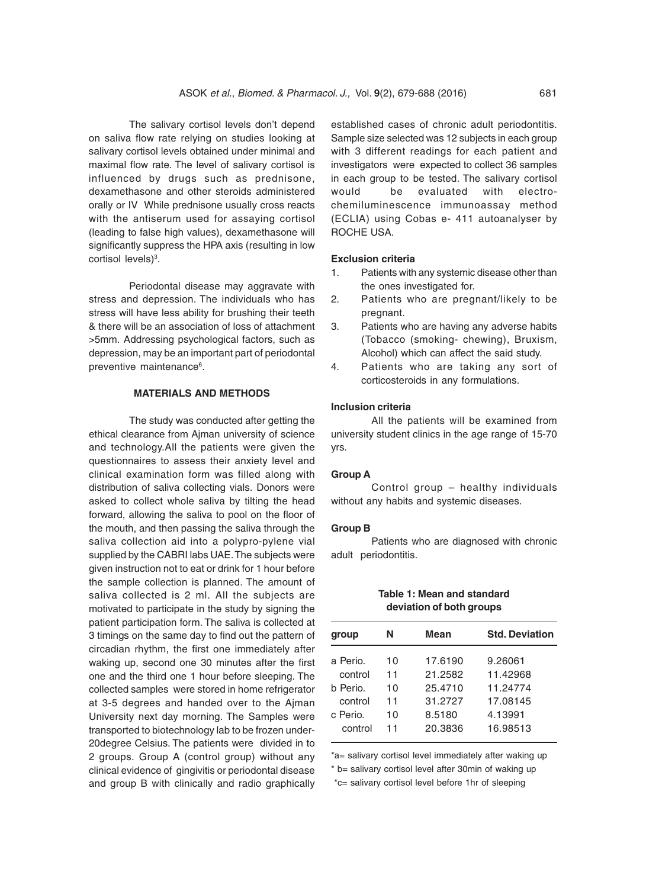The salivary cortisol levels don't depend on saliva flow rate relying on studies looking at salivary cortisol levels obtained under minimal and maximal flow rate. The level of salivary cortisol is influenced by drugs such as prednisone, dexamethasone and other steroids administered orally or IV While prednisone usually cross reacts with the antiserum used for assaying cortisol (leading to false high values), dexamethasone will significantly suppress the HPA axis (resulting in low cortisol levels)<sup>3</sup>.

Periodontal disease may aggravate with stress and depression. The individuals who has stress will have less ability for brushing their teeth & there will be an association of loss of attachment >5mm. Addressing psychological factors, such as depression, may be an important part of periodontal preventive maintenance<sup>6</sup>.

## **MATERIALS AND METHODS**

The study was conducted after getting the ethical clearance from Ajman university of science and technology.All the patients were given the questionnaires to assess their anxiety level and clinical examination form was filled along with distribution of saliva collecting vials. Donors were asked to collect whole saliva by tilting the head forward, allowing the saliva to pool on the floor of the mouth, and then passing the saliva through the saliva collection aid into a polypro-pylene vial supplied by the CABRI labs UAE. The subjects were given instruction not to eat or drink for 1 hour before the sample collection is planned. The amount of saliva collected is 2 ml. All the subjects are motivated to participate in the study by signing the patient participation form. The saliva is collected at 3 timings on the same day to find out the pattern of circadian rhythm, the first one immediately after waking up, second one 30 minutes after the first one and the third one 1 hour before sleeping. The collected samples were stored in home refrigerator at 3-5 degrees and handed over to the Ajman University next day morning. The Samples were transported to biotechnology lab to be frozen under-20degree Celsius. The patients were divided in to 2 groups. Group A (control group) without any clinical evidence of gingivitis or periodontal disease and group B with clinically and radio graphically

established cases of chronic adult periodontitis. Sample size selected was 12 subjects in each group with 3 different readings for each patient and investigators were expected to collect 36 samples in each group to be tested. The salivary cortisol would be evaluated with electrochemiluminescence immunoassay method (ECLIA) using Cobas e- 411 autoanalyser by ROCHE USA.

## **Exclusion criteria**

- 1. Patients with any systemic disease other than the ones investigated for.
- 2. Patients who are pregnant/likely to be pregnant.
- 3. Patients who are having any adverse habits (Tobacco (smoking- chewing), Bruxism, Alcohol) which can affect the said study.
- 4. Patients who are taking any sort of corticosteroids in any formulations.

### **Inclusion criteria**

All the patients will be examined from university student clinics in the age range of 15-70 yrs.

#### **Group A**

Control group – healthy individuals without any habits and systemic diseases.

#### **Group B**

Patients who are diagnosed with chronic adult periodontitis.

#### **Table 1: Mean and standard deviation of both groups**

| group    | Ν  | Mean    | <b>Std. Deviation</b> |  |  |
|----------|----|---------|-----------------------|--|--|
| a Perio. | 10 | 17.6190 | 9.26061               |  |  |
| control  | 11 | 21.2582 | 11.42968              |  |  |
| h Perio. | 10 | 25.4710 | 11.24774              |  |  |
| control  | 11 | 31.2727 | 17.08145              |  |  |
| c Perio. | 10 | 8.5180  | 4.13991               |  |  |
| control  | 11 | 20.3836 | 16.98513              |  |  |
|          |    |         |                       |  |  |

\*a= salivary cortisol level immediately after waking up

\* b= salivary cortisol level after 30min of waking up

\*c= salivary cortisol level before 1hr of sleeping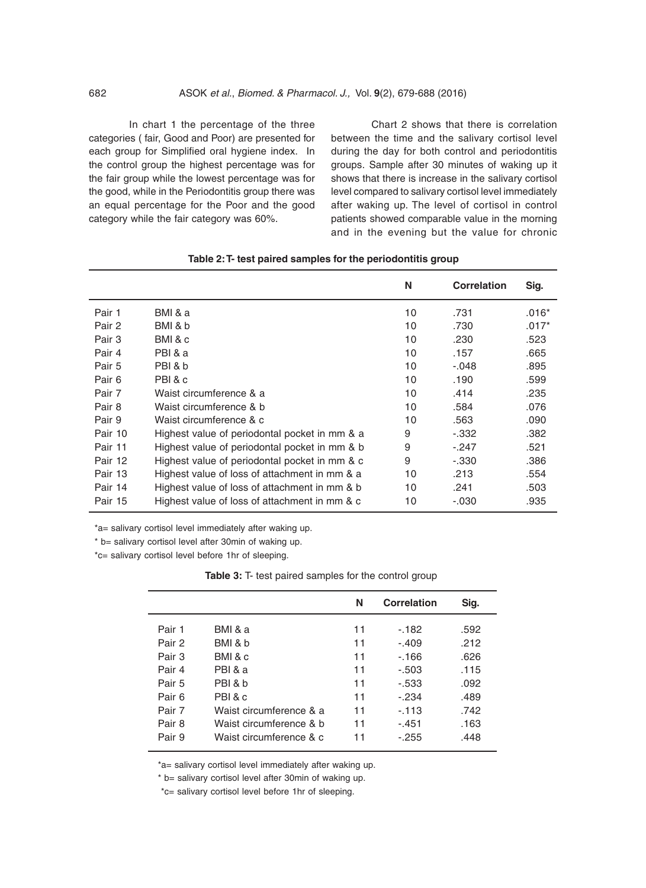In chart 1 the percentage of the three categories ( fair, Good and Poor) are presented for each group for Simplified oral hygiene index. In the control group the highest percentage was for the fair group while the lowest percentage was for the good, while in the Periodontitis group there was an equal percentage for the Poor and the good category while the fair category was 60%.

Chart 2 shows that there is correlation between the time and the salivary cortisol level during the day for both control and periodontitis groups. Sample after 30 minutes of waking up it shows that there is increase in the salivary cortisol level compared to salivary cortisol level immediately after waking up. The level of cortisol in control patients showed comparable value in the morning and in the evening but the value for chronic

|         |                                               | N  | <b>Correlation</b> | Sig.    |
|---------|-----------------------------------------------|----|--------------------|---------|
| Pair 1  | BMI & a                                       | 10 | .731               | $.016*$ |
| Pair 2  | BMI & b                                       | 10 | .730               | $.017*$ |
| Pair 3  | BMI&c                                         | 10 | .230               | .523    |
| Pair 4  | PBI & a                                       | 10 | .157               | .665    |
| Pair 5  | PBI & b                                       | 10 | $-.048$            | .895    |
| Pair 6  | PBI& c                                        | 10 | .190               | .599    |
| Pair 7  | Waist circumference & a                       | 10 | .414               | .235    |
| Pair 8  | Waist circumference & b                       | 10 | .584               | .076    |
| Pair 9  | Waist circumference & c                       | 10 | .563               | .090    |
| Pair 10 | Highest value of periodontal pocket in mm & a | 9  | $-.332$            | .382    |
| Pair 11 | Highest value of periodontal pocket in mm & b | 9  | $-.247$            | .521    |
| Pair 12 | Highest value of periodontal pocket in mm & c | 9  | $-.330$            | .386    |
| Pair 13 | Highest value of loss of attachment in mm & a | 10 | .213               | .554    |
| Pair 14 | Highest value of loss of attachment in mm & b | 10 | .241               | .503    |
| Pair 15 | Highest value of loss of attachment in mm & c | 10 | $-.030$            | .935    |

\*a= salivary cortisol level immediately after waking up.

\* b= salivary cortisol level after 30min of waking up.

\*c= salivary cortisol level before 1hr of sleeping.

**Table 3:** T- test paired samples for the control group

|        |                         | N  | <b>Correlation</b> | Sig. |
|--------|-------------------------|----|--------------------|------|
| Pair 1 | BMI & a                 | 11 | $-182$             | .592 |
| Pair 2 | BMI & b                 | 11 | $-.409$            | .212 |
| Pair 3 | BMI & c                 | 11 | $-166$             | .626 |
| Pair 4 | PBI & a                 | 11 | $-.503$            | .115 |
| Pair 5 | PBI&b                   | 11 | $-0.533$           | .092 |
| Pair 6 | PBI & c                 | 11 | $-.234$            | .489 |
| Pair 7 | Waist circumference & a | 11 | $-113$             | .742 |
| Pair 8 | Waist circumference & b | 11 | $-.451$            | .163 |
| Pair 9 | Waist circumference & c | 11 | $-255$             | .448 |

\*a= salivary cortisol level immediately after waking up.

\* b= salivary cortisol level after 30min of waking up.

\*c= salivary cortisol level before 1hr of sleeping.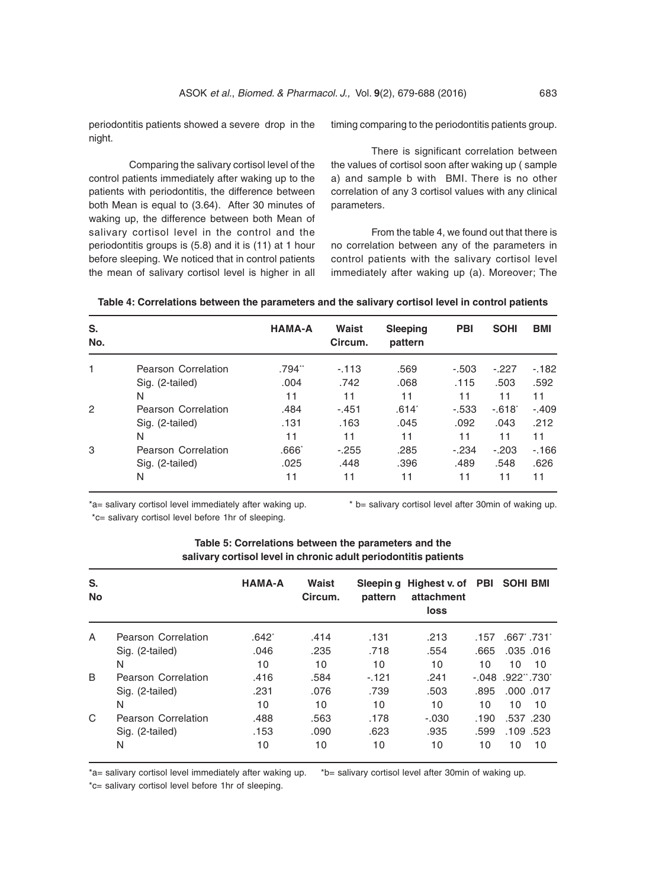periodontitis patients showed a severe drop in the night.

Comparing the salivary cortisol level of the control patients immediately after waking up to the patients with periodontitis, the difference between both Mean is equal to (3.64). After 30 minutes of waking up, the difference between both Mean of salivary cortisol level in the control and the periodontitis groups is (5.8) and it is (11) at 1 hour before sleeping. We noticed that in control patients the mean of salivary cortisol level is higher in all timing comparing to the periodontitis patients group.

There is significant correlation between the values of cortisol soon after waking up ( sample a) and sample b with BMI. There is no other correlation of any 3 cortisol values with any clinical parameters.

From the table 4, we found out that there is no correlation between any of the parameters in control patients with the salivary cortisol level immediately after waking up (a). Moreover; The

| S.<br>No. |                     | <b>HAMA-A</b> | Waist<br>Circum. | <b>Sleeping</b><br>pattern | <b>PBI</b> | <b>SOHI</b> | <b>BMI</b> |
|-----------|---------------------|---------------|------------------|----------------------------|------------|-------------|------------|
| 1         | Pearson Correlation | .794**        | $-113$           | .569                       | $-.503$    | $-.227$     | $-182$     |
|           | Sig. (2-tailed)     | .004          | .742             | .068                       | .115       | .503        | .592       |
|           | N                   | 11            | 11               | 11                         | 11         | 11          | 11         |
| 2         | Pearson Correlation | .484          | $-.451$          | .614 <sup>°</sup>          | $-0.533$   | $-.618"$    | $-.409$    |
|           | Sig. (2-tailed)     | .131          | .163             | .045                       | .092       | .043        | .212       |
|           | N                   | 11            | 11               | 11                         | 11         | 11          | 11         |
| 3         | Pearson Correlation | $.666^*$      | $-.255$          | .285                       | $-.234$    | $-.203$     | $-166$     |
|           | Sig. (2-tailed)     | .025          | .448             | .396                       | .489       | .548        | .626       |
|           | N                   | 11            | 11               | 11                         | 11         | 11          | 11         |

**Table 4: Correlations between the parameters and the salivary cortisol level in control patients**

\*a= salivary cortisol level immediately after waking up. \* b= salivary cortisol level after 30min of waking up. \*c= salivary cortisol level before 1hr of sleeping.

| S.<br><b>No</b> |                     | <b>HAMA-A</b> | Waist<br>Circum. | pattern | Sleeping Highest v. of PBI SOHI BMI<br>attachment<br>loss |      |                     |
|-----------------|---------------------|---------------|------------------|---------|-----------------------------------------------------------|------|---------------------|
| A               | Pearson Correlation | $.642*$       | .414             | .131    | .213                                                      | .157 | .667 .731           |
|                 | Sig. (2-tailed)     | .046          | .235             | .718    | .554                                                      | .665 | $.035$ $.016$       |
|                 | N                   | 10            | 10               | 10      | 10                                                        | 10   | 10<br>10            |
| <sub>B</sub>    | Pearson Correlation | .416          | .584             | $-121$  | .241                                                      |      | $-0.048$ .922" .730 |
|                 | Sig. (2-tailed)     | .231          | .076             | .739    | .503                                                      | .895 | $.000$ .017         |
|                 | N                   | 10            | 10               | 10      | 10                                                        | 10   | 10<br>10            |
| C               | Pearson Correlation | .488          | .563             | .178    | $-.030$                                                   | .190 | .537 .230           |
|                 | Sig. (2-tailed)     | .153          | .090             | .623    | .935                                                      | .599 | .109.523            |
|                 | N                   | 10            | 10               | 10      | 10                                                        | 10   | 10<br>10            |

## **Table 5: Correlations between the parameters and the salivary cortisol level in chronic adult periodontitis patients**

\*a= salivary cortisol level immediately after waking up. \*b= salivary cortisol level after 30min of waking up.

\*c= salivary cortisol level before 1hr of sleeping.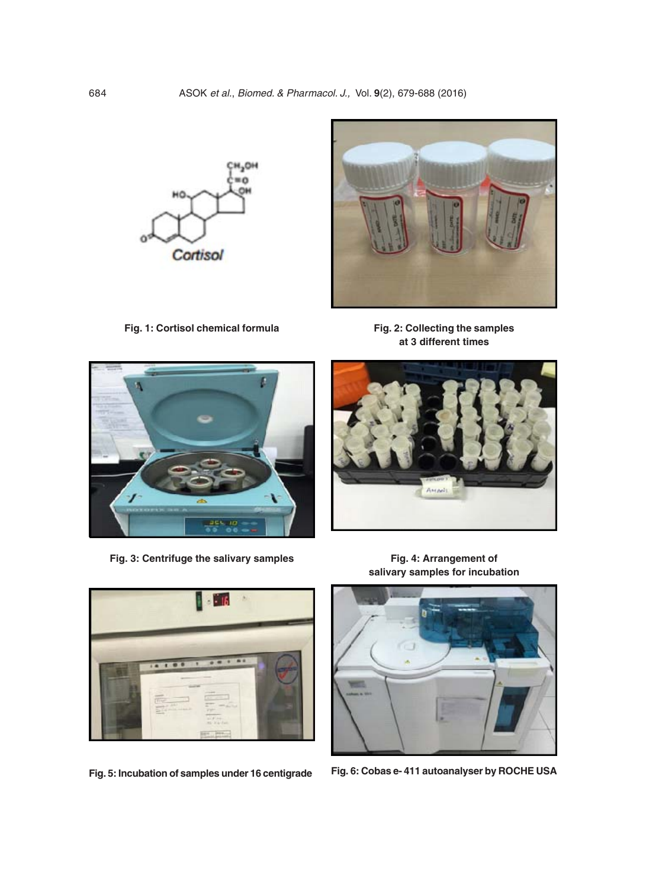

**Fig. 1: Cortisol chemical formula**





**Fig. 3: Centrifuge the salivary samples Fig. 4: Arrangement of**





**salivary samples for incubation**



**Fig. 5: Incubation of samples under 16 centigrade Fig. 6: Cobas e- 411 autoanalyser by ROCHE USA**

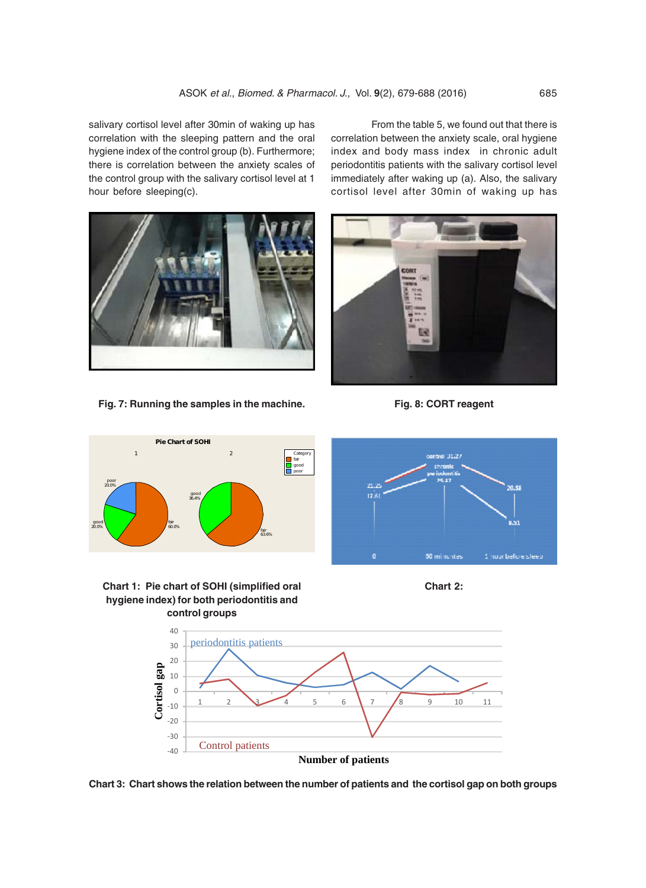salivary cortisol level after 30min of waking up has correlation with the sleeping pattern and the oral hygiene index of the control group (b). Furthermore; there is correlation between the anxiety scales of the control group with the salivary cortisol level at 1 hour before sleeping(c).

From the table 5, we found out that there is correlation between the anxiety scale, oral hygiene index and body mass index in chronic adult periodontitis patients with the salivary cortisol level immediately after waking up (a). Also, the salivary cortisol level after 30min of waking up has



**Fig. 7: Running the samples in the machine. Fig. 8: CORT reagent**













**Chart 3: Chart shows the relation between the number of patients and the cortisol gap on both groups**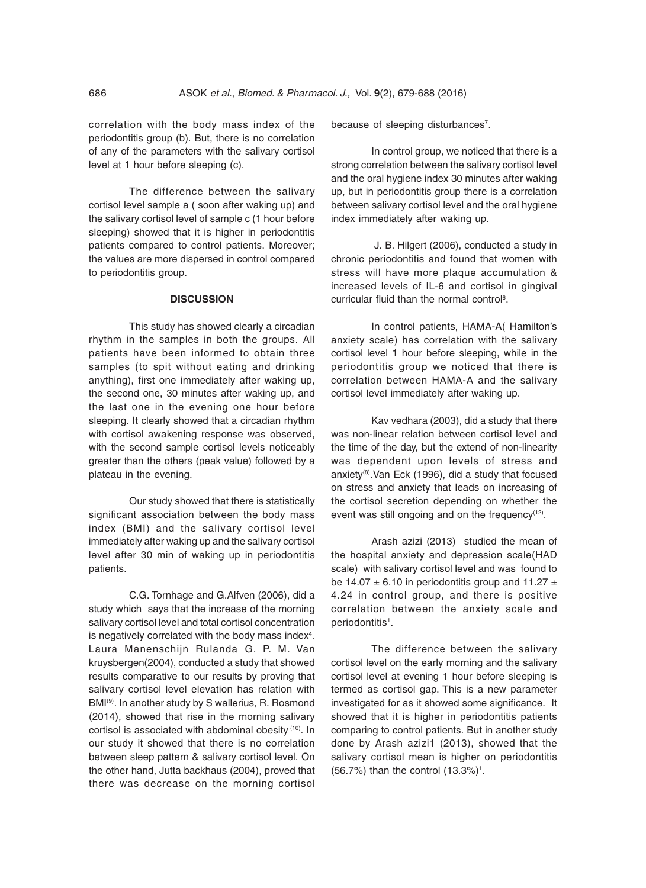correlation with the body mass index of the periodontitis group (b). But, there is no correlation of any of the parameters with the salivary cortisol level at 1 hour before sleeping (c).

The difference between the salivary cortisol level sample a ( soon after waking up) and the salivary cortisol level of sample c (1 hour before sleeping) showed that it is higher in periodontitis patients compared to control patients. Moreover; the values are more dispersed in control compared to periodontitis group.

#### **DISCUSSION**

This study has showed clearly a circadian rhythm in the samples in both the groups. All patients have been informed to obtain three samples (to spit without eating and drinking anything), first one immediately after waking up, the second one, 30 minutes after waking up, and the last one in the evening one hour before sleeping. It clearly showed that a circadian rhythm with cortisol awakening response was observed, with the second sample cortisol levels noticeably greater than the others (peak value) followed by a plateau in the evening.

Our study showed that there is statistically significant association between the body mass index (BMI) and the salivary cortisol level immediately after waking up and the salivary cortisol level after 30 min of waking up in periodontitis patients.

C.G. Tornhage and G.Alfven (2006), did a study which says that the increase of the morning salivary cortisol level and total cortisol concentration is negatively correlated with the body mass index $4$ . Laura Manenschijn Rulanda G. P. M. Van kruysbergen(2004), conducted a study that showed results comparative to our results by proving that salivary cortisol level elevation has relation with BMI(9). In another study by S wallerius, R. Rosmond (2014), showed that rise in the morning salivary cortisol is associated with abdominal obesity (10). In our study it showed that there is no correlation between sleep pattern & salivary cortisol level. On the other hand, Jutta backhaus (2004), proved that there was decrease on the morning cortisol

because of sleeping disturbances<sup>7</sup>.

In control group, we noticed that there is a strong correlation between the salivary cortisol level and the oral hygiene index 30 minutes after waking up, but in periodontitis group there is a correlation between salivary cortisol level and the oral hygiene index immediately after waking up.

 J. B. Hilgert (2006), conducted a study in chronic periodontitis and found that women with stress will have more plaque accumulation & increased levels of IL-6 and cortisol in gingival curricular fluid than the normal control<sup>6</sup>.

In control patients, HAMA-A( Hamilton's anxiety scale) has correlation with the salivary cortisol level 1 hour before sleeping, while in the periodontitis group we noticed that there is correlation between HAMA-A and the salivary cortisol level immediately after waking up.

Kav vedhara (2003), did a study that there was non-linear relation between cortisol level and the time of the day, but the extend of non-linearity was dependent upon levels of stress and anxiety(8).Van Eck (1996), did a study that focused on stress and anxiety that leads on increasing of the cortisol secretion depending on whether the event was still ongoing and on the frequency $(12)$ .

Arash azizi (2013) studied the mean of the hospital anxiety and depression scale(HAD scale) with salivary cortisol level and was found to be 14.07  $\pm$  6.10 in periodontitis group and 11.27  $\pm$ 4.24 in control group, and there is positive correlation between the anxiety scale and periodontitis<sup>1</sup>.

The difference between the salivary cortisol level on the early morning and the salivary cortisol level at evening 1 hour before sleeping is termed as cortisol gap. This is a new parameter investigated for as it showed some significance. It showed that it is higher in periodontitis patients comparing to control patients. But in another study done by Arash azizi1 (2013), showed that the salivary cortisol mean is higher on periodontitis  $(56.7%)$  than the control  $(13.3%)$ <sup>1</sup>.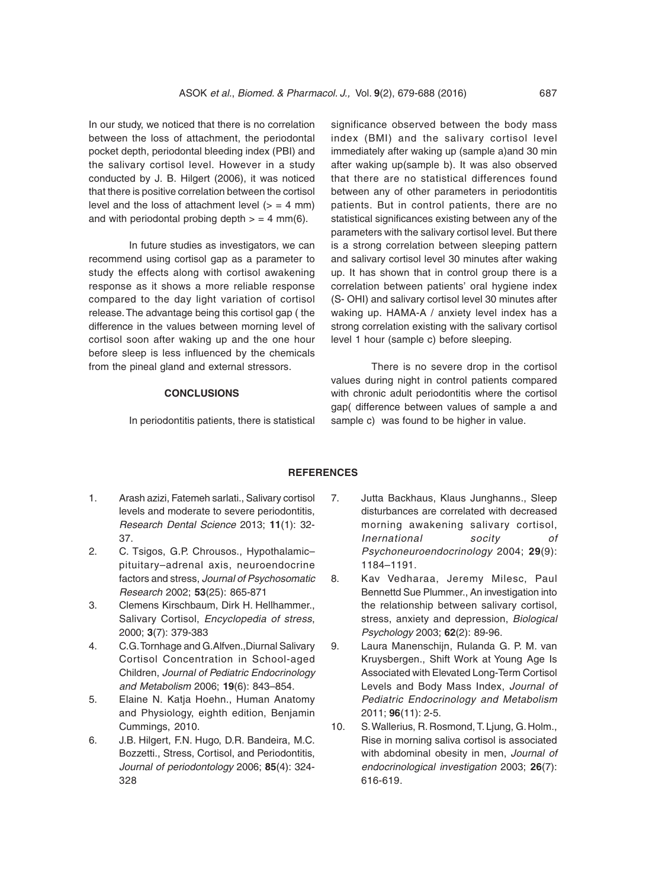In our study, we noticed that there is no correlation between the loss of attachment, the periodontal pocket depth, periodontal bleeding index (PBI) and the salivary cortisol level. However in a study conducted by J. B. Hilgert (2006), it was noticed that there is positive correlation between the cortisol level and the loss of attachment level  $(>= 4$  mm) and with periodontal probing depth  $>$  = 4 mm(6).

In future studies as investigators, we can recommend using cortisol gap as a parameter to study the effects along with cortisol awakening response as it shows a more reliable response compared to the day light variation of cortisol release. The advantage being this cortisol gap ( the difference in the values between morning level of cortisol soon after waking up and the one hour before sleep is less influenced by the chemicals from the pineal gland and external stressors.

#### **CONCLUSIONS**

In periodontitis patients, there is statistical

significance observed between the body mass index (BMI) and the salivary cortisol level immediately after waking up (sample a)and 30 min after waking up(sample b). It was also observed that there are no statistical differences found between any of other parameters in periodontitis patients. But in control patients, there are no statistical significances existing between any of the parameters with the salivary cortisol level. But there is a strong correlation between sleeping pattern and salivary cortisol level 30 minutes after waking up. It has shown that in control group there is a correlation between patients' oral hygiene index (S- OHI) and salivary cortisol level 30 minutes after waking up. HAMA-A / anxiety level index has a strong correlation existing with the salivary cortisol level 1 hour (sample c) before sleeping.

There is no severe drop in the cortisol values during night in control patients compared with chronic adult periodontitis where the cortisol gap( difference between values of sample a and sample c) was found to be higher in value.

## **REFERENCES**

- 1. Arash azizi, Fatemeh sarlati., Salivary cortisol levels and moderate to severe periodontitis, Research Dental Science 2013; **11**(1): 32- 37.
- 2. C. Tsigos, G.P. Chrousos., Hypothalamic– pituitary–adrenal axis, neuroendocrine factors and stress, Journal of Psychosomatic Research 2002; **53**(25): 865-871
- 3. Clemens Kirschbaum, Dirk H. Hellhammer., Salivary Cortisol, Encyclopedia of stress, 2000; **3**(7): 379-383
- 4. C.G. Tornhage and G.Alfven.,Diurnal Salivary Cortisol Concentration in School-aged Children, Journal of Pediatric Endocrinology and Metabolism 2006; **19**(6): 843–854.
- 5. Elaine N. Katja Hoehn., Human Anatomy and Physiology, eighth edition, Benjamin Cummings, 2010.
- 6. J.B. Hilgert, F.N. Hugo, D.R. Bandeira, M.C. Bozzetti., Stress, Cortisol, and Periodontitis, Journal of periodontology 2006; **85**(4): 324- 328
- 7. Jutta Backhaus, Klaus Junghanns., Sleep disturbances are correlated with decreased morning awakening salivary cortisol, Inernational socity of Psychoneuroendocrinology 2004; **29**(9): 1184–1191.
- 8. Kav Vedharaa, Jeremy Milesc, Paul Bennettd Sue Plummer., An investigation into the relationship between salivary cortisol, stress, anxiety and depression, Biological Psychology 2003; **62**(2): 89-96.
- 9. Laura Manenschijn, Rulanda G. P. M. van Kruysbergen., Shift Work at Young Age Is Associated with Elevated Long-Term Cortisol Levels and Body Mass Index, Journal of Pediatric Endocrinology and Metabolism 2011; **96**(11): 2-5.
- 10. S. Wallerius, R. Rosmond, T. Ljung, G. Holm., Rise in morning saliva cortisol is associated with abdominal obesity in men, Journal of endocrinological investigation 2003; **26**(7): 616-619.